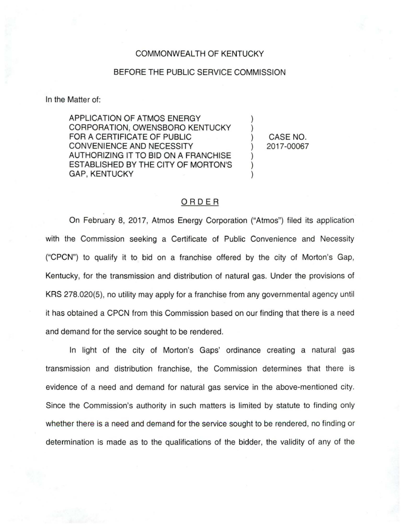## COMMONWEALTH OF KENTUCKY

## BEFORE THE PUBLIC SERVICE COMMISSION

In the Matter of:

APPLICATION OF ATMOS ENERGY CORPORATION, OWENSBORO KENTUCKY FOR A CERTIFICATE OF PUBLIC CONVENIENCE AND NECESSITY AUTHORIZING IT TO BID ON A FRANCHISE ESTABLISHED BY THE CITY OF MORTON'S GAP, KENTUCKY

) CASE NO. ) 2017-00067

) )

) ) )

## ORDER

On February 8, 2017, Atmos Energy Corporation ("Atmos") filed its application with the Commission seeking a Certificate of Public Convenience and Necessity ("CPCN") to qualify it to bid on a franchise offered by the city of Morton's Gap, Kentucky, for the transmission and distribution of natural gas. Under the provisions of KRS 278.020(5), no utility may apply for a franchise from any governmental agency until it has obtained a CPCN from this Commission based on our finding that there is a need and demand for the service sought to be rendered.

In light of the city of Morton's Gaps' ordinance creating a natural gas transmission and distribution franchise, the Commission determines that there is evidence of a need and demand for natural gas service in the above-mentioned city. Since the Commission's authority in such matters is limited by statute to finding only whether there is a need and demand for the service sought to be rendered, no finding or determination is made as to the qualifications of the bidder, the validity of any of the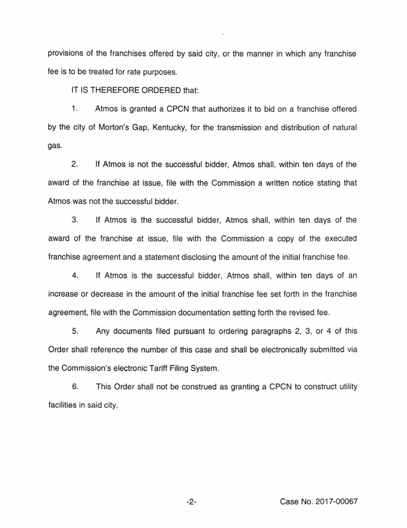provisions of the franchises offered by said city, or the manner in which any franchise fee is to be treated for rate purposes.

IT IS THEREFORE ORDERED that:

1. Atmos is granted a CPCN that authorizes it to bid on a franchise offered by the city of Morton's Gap, Kentucky, for the transmission and distribution of natural gas.

2. If Atmos is not the successful bidder, Atmos shall, within ten days of the award of the franchise at issue, file with the Commission a written notice stating that Atmos was not the successful bidder.

3. If Atmos is the successful bidder, Atmos shall, within ten days of the award of the franchise at issue, file with the Commission a copy of the executed franchise agreement and a statement disclosing the amount of the initial franchise fee.

4. If Atmos is the successful bidder, Atmos shall, within ten days of an increase or decrease in the amount of the initial franchise fee set forth in the franchise agreement, file with the Commission documentation setting forth the revised fee.

5. Any documents filed pursuant to ordering paragraphs 2, 3, or 4 of this Order shall reference the number of this case and shall be electronically submitted via the Commission's electronic Tariff Filing System.

6. This Order shall not be construed as granting a CPCN to construct utility facilities in said city.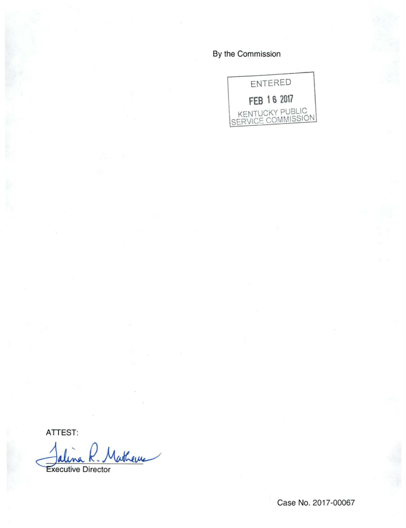## By the Commission



**ATTEST:** 

Mathema **Executive Director** 

Case No. 2017-00067